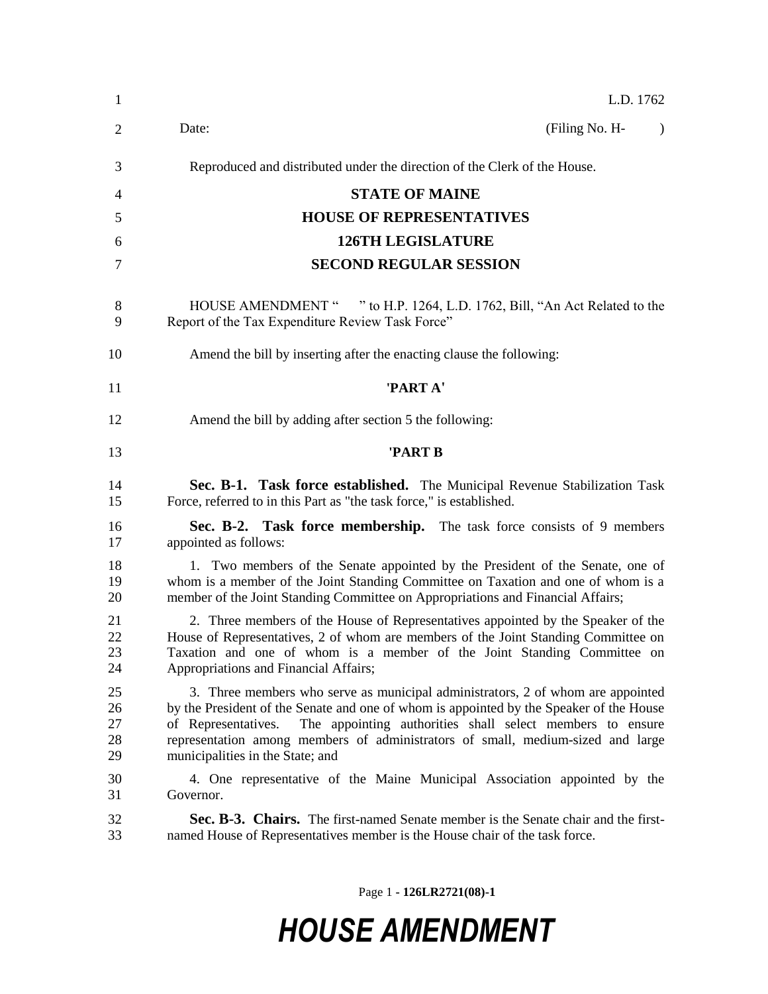| $\mathbf{1}$               | L.D. 1762                                                                                                                                                                                                                                                                                                                                                                             |
|----------------------------|---------------------------------------------------------------------------------------------------------------------------------------------------------------------------------------------------------------------------------------------------------------------------------------------------------------------------------------------------------------------------------------|
| 2                          | (Filing No. H-<br>Date:<br>$\lambda$                                                                                                                                                                                                                                                                                                                                                  |
| 3                          | Reproduced and distributed under the direction of the Clerk of the House.                                                                                                                                                                                                                                                                                                             |
| 4                          | <b>STATE OF MAINE</b>                                                                                                                                                                                                                                                                                                                                                                 |
| 5                          | <b>HOUSE OF REPRESENTATIVES</b>                                                                                                                                                                                                                                                                                                                                                       |
| 6                          | <b>126TH LEGISLATURE</b>                                                                                                                                                                                                                                                                                                                                                              |
| 7                          | <b>SECOND REGULAR SESSION</b>                                                                                                                                                                                                                                                                                                                                                         |
| 8<br>9                     | HOUSE AMENDMENT " " to H.P. 1264, L.D. 1762, Bill, "An Act Related to the<br>Report of the Tax Expenditure Review Task Force"                                                                                                                                                                                                                                                         |
| 10                         | Amend the bill by inserting after the enacting clause the following:                                                                                                                                                                                                                                                                                                                  |
| 11                         | 'PART A'                                                                                                                                                                                                                                                                                                                                                                              |
| 12                         | Amend the bill by adding after section 5 the following:                                                                                                                                                                                                                                                                                                                               |
| 13                         | 'PART B                                                                                                                                                                                                                                                                                                                                                                               |
| 14<br>15                   | Sec. B-1. Task force established. The Municipal Revenue Stabilization Task<br>Force, referred to in this Part as "the task force," is established.                                                                                                                                                                                                                                    |
| 16<br>17                   | Sec. B-2. Task force membership. The task force consists of 9 members<br>appointed as follows:                                                                                                                                                                                                                                                                                        |
| 18<br>19<br>20             | 1. Two members of the Senate appointed by the President of the Senate, one of<br>whom is a member of the Joint Standing Committee on Taxation and one of whom is a<br>member of the Joint Standing Committee on Appropriations and Financial Affairs;                                                                                                                                 |
| 21<br>22<br>23<br>24       | 2. Three members of the House of Representatives appointed by the Speaker of the<br>House of Representatives, 2 of whom are members of the Joint Standing Committee on<br>Taxation and one of whom is a member of the Joint Standing Committee on<br>Appropriations and Financial Affairs;                                                                                            |
| 25<br>26<br>27<br>28<br>29 | 3. Three members who serve as municipal administrators, 2 of whom are appointed<br>by the President of the Senate and one of whom is appointed by the Speaker of the House<br>The appointing authorities shall select members to ensure<br>of Representatives.<br>representation among members of administrators of small, medium-sized and large<br>municipalities in the State; and |
| 30<br>31                   | 4. One representative of the Maine Municipal Association appointed by the<br>Governor.                                                                                                                                                                                                                                                                                                |
| 32<br>33                   | Sec. B-3. Chairs. The first-named Senate member is the Senate chair and the first-<br>named House of Representatives member is the House chair of the task force.                                                                                                                                                                                                                     |

Page 1 **- 126LR2721(08)-1**

## *HOUSE AMENDMENT*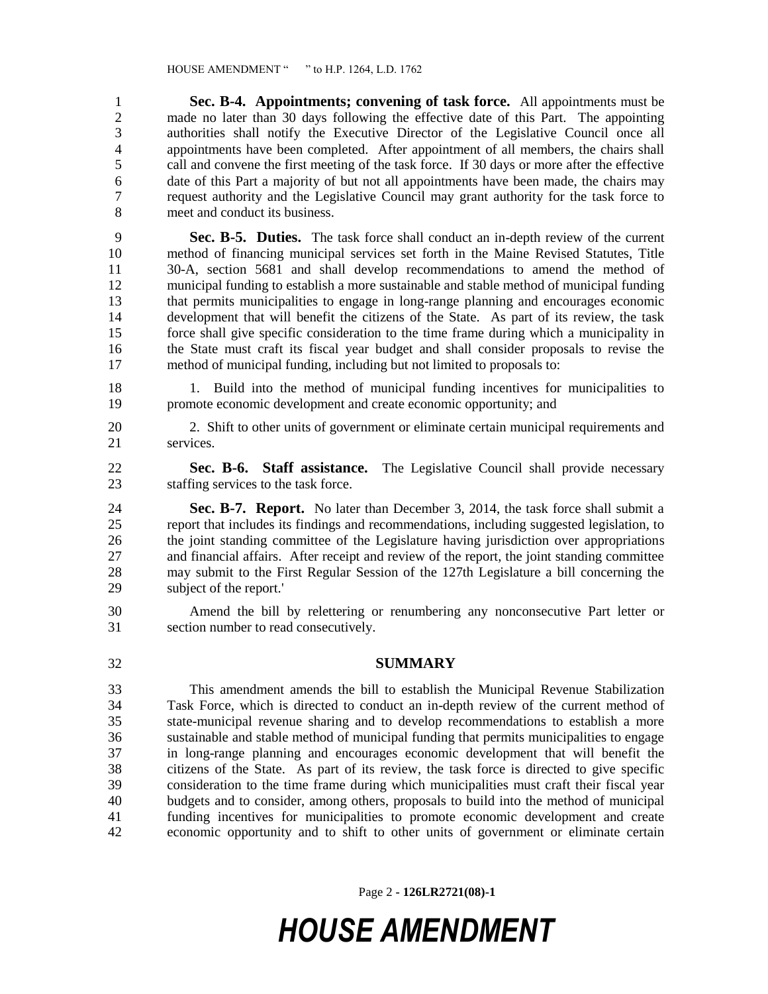**Sec. B-4. Appointments; convening of task force.** All appointments must be 2 made no later than 30 days following the effective date of this Part. The appointing<br>3 authorities shall notify the Executive Director of the Legislative Council once all authorities shall notify the Executive Director of the Legislative Council once all appointments have been completed. After appointment of all members, the chairs shall call and convene the first meeting of the task force. If 30 days or more after the effective date of this Part a majority of but not all appointments have been made, the chairs may request authority and the Legislative Council may grant authority for the task force to meet and conduct its business.

 **Sec. B-5. Duties.** The task force shall conduct an in-depth review of the current method of financing municipal services set forth in the Maine Revised Statutes, Title 30-A, section 5681 and shall develop recommendations to amend the method of municipal funding to establish a more sustainable and stable method of municipal funding that permits municipalities to engage in long-range planning and encourages economic development that will benefit the citizens of the State. As part of its review, the task force shall give specific consideration to the time frame during which a municipality in the State must craft its fiscal year budget and shall consider proposals to revise the method of municipal funding, including but not limited to proposals to:

 1. Build into the method of municipal funding incentives for municipalities to promote economic development and create economic opportunity; and

 2. Shift to other units of government or eliminate certain municipal requirements and services.

 **Sec. B-6. Staff assistance.** The Legislative Council shall provide necessary staffing services to the task force.

 **Sec. B-7. Report.** No later than December 3, 2014, the task force shall submit a report that includes its findings and recommendations, including suggested legislation, to 26 the joint standing committee of the Legislature having jurisdiction over appropriations and financial affairs. After receipt and review of the report, the joint standing committee may submit to the First Regular Session of the 127th Legislature a bill concerning the subject of the report.'

- Amend the bill by relettering or renumbering any nonconsecutive Part letter or section number to read consecutively.
- 

## **SUMMARY**

 This amendment amends the bill to establish the Municipal Revenue Stabilization Task Force, which is directed to conduct an in-depth review of the current method of state-municipal revenue sharing and to develop recommendations to establish a more sustainable and stable method of municipal funding that permits municipalities to engage in long-range planning and encourages economic development that will benefit the citizens of the State. As part of its review, the task force is directed to give specific consideration to the time frame during which municipalities must craft their fiscal year budgets and to consider, among others, proposals to build into the method of municipal funding incentives for municipalities to promote economic development and create economic opportunity and to shift to other units of government or eliminate certain

Page 2 **- 126LR2721(08)-1**

## *HOUSE AMENDMENT*